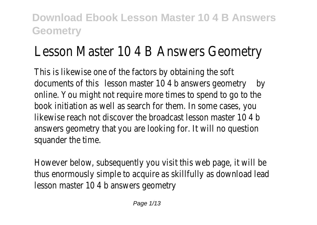# Lesson Master 10 4 B Answers Geometry

This is likewise one of the factors by obtaining the soft documents of this son master 10 4 b answers geometry online. You might not require more times to spend to go to the book initiation as well as search for them. In some cases, you likewise reach not discover the broadcast lesson master 10 4 b answers geometry that you are looking for. It will no question squander the time.

However below, subsequently you visit this web page, it will be thus enormously simple to acquire as skillfully as download lead lesson master 10 4 b answers geometry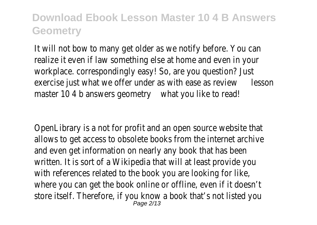It will not bow to many get older as we notify before. You can realize it even if law something else at home and even in your workplace. correspondingly easy! So, are you question? Just exercise just what we offer under as with ease as besine when  $\epsilon$ master 10 4 b answers geomet that you like to read!

OpenLibrary is a not for profit and an open source website that allows to get access to obsolete books from the internet archive and even get information on nearly any book that has been written. It is sort of a Wikipedia that will at least provide you with references related to the book you are looking for like, where you can get the book online or offline, even if it doesn't store itself. Therefore, if you know a book that's not listed you  $P$ age  $2/13$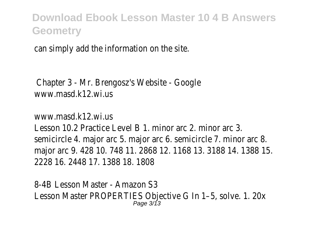can simply add the information on the site.

Chapter 3 - Mr. Brengosz's Website - Google www.masd.k12.wi.us

www.masd.k12.wi.us

Lesson 10.2 Practice Level B 1. minor arc 2. minor arc 3. semicircle 4. major arc 5. major arc 6. semicircle 7. minor arc 8. major arc 9, 428 10, 748 11, 2868 12, 1168 13, 3188 14, 1388 1 2228 16. 2448 17. 1388 18. 1808

8-4B Lesson Master - Amazon S3 Lesson Master PROPERTIES Objective G In 1–5, solve. 1. 20x Page 3/13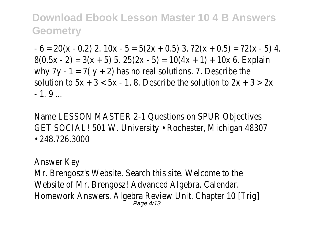$- 6 = 20(x - 0.2)$  2.  $10x - 5 = 5(2x + 0.5)$  3.  $?2(x + 0.5) = ?2(x - 5)$  $8(0.5x - 2) = 3(x + 5)$  5.  $25(2x - 5) = 10(4x + 1) + 10x$  6. Explain why  $7y - 1 = 7(y + 2)$  has no real solutions. 7. Describe the solution to  $5x + 3 < 5x - 1$ . 8. Describe the solution to  $2x + 3 > 2$  $-1.9$ 

Name LESSON MASTER 2-1 Questions on SPUR Objectives GET SOCIAL! 501 W. University • Rochester, Michigan 48307 • 248.726.3000

Answer Key

Mr. Brengosz's Website. Search this site. Welcome to the Website of Mr. Brengosz! Advanced Algebra. Calendar. Homework Answers. Algebra Review Unit. Chapter 10 [Trig] Page 4/13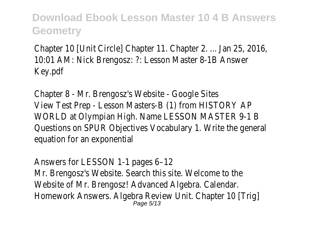Chapter 10 [Unit Circle] Chapter 11. Chapter 2. ... Jan 25, 2016, 10:01 AM: Nick Brengosz: ?: Lesson Master 8-1B Answer Key.pdf

Chapter 8 - Mr. Brengosz's Website - Google Sites View Test Prep - Lesson Masters-B (1) from HISTORY AP WORLD at Olympian High. Name LESSON MASTER 9-1 B Questions on SPUR Objectives Vocabulary 1. Write the general equation for an exponential

Answers for LESSON 1-1 pages 6–12 Mr. Brengosz's Website. Search this site. Welcome to the Website of Mr. Brengosz! Advanced Algebra. Calendar. Homework Answers. Algebra Review Unit. Chapter 10 [Trig] Page 5/13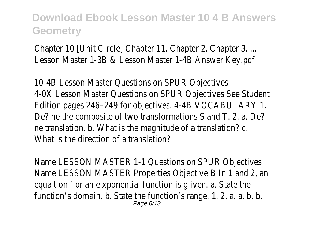Chapter 10 [Unit Circle] Chapter 11. Chapter 2. Chapter 3. ... Lesson Master 1-3B & Lesson Master 1-4B Answer Key.pdf

10-4B Lesson Master Questions on SPUR Objectives 4-0X Lesson Master Questions on SPUR Objectives See Student Edition pages 246–249 for objectives. 4-4B VOCABULARY 1. De? ne the composite of two transformations S and T. 2. a. De? ne translation. b. What is the magnitude of a translation? c. What is the direction of a translation?

Name LESSON MASTER 1-1 Questions on SPUR Objectives Name LESSON MASTER Properties Objective B In 1 and 2, an equa tion f or an e xponential function is g iven. a. State the function's domain. b. State the function's range. 1. 2. a. a. b. b. Page 6/13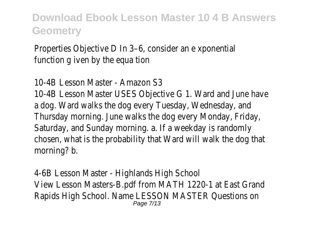Properties Objective D In 3–6, consider an e xponential function a iven by the equa tion

10-4B Lesson Master - Amazon S3 10-4B Lesson Master USES Objective G 1. Ward and June have a dog. Ward walks the dog every Tuesday, Wednesday, and

Thursday morning. June walks the dog every Monday, Friday, Saturday, and Sunday morning. a. If a weekday is randomly chosen, what is the probability that Ward will walk the dog that morning? b.

4-6B Lesson Master - Highlands High School View Lesson Masters-B.pdf from MATH 1220-1 at East Grand Rapids High School. Name LESSON MASTER Questions on Page 7/13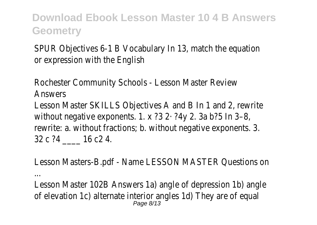SPUR Objectives 6-1 B Vocabulary In 13, match the equation or expression with the English

Rochester Community Schools - Lesson Master Review Answers Lesson Master SKILLS Objectives A and B In 1 and 2, rewrite without negative exponents. 1. x ?3 2· ?4y 2. 3a b?5 In 3–8, rewrite: a. without fractions; b. without negative exponents. 3. 32 c ?4 16 c 2 4.

Lesson Masters-B.pdf - Name LESSON MASTER Questions on

...

Lesson Master 102B Answers 1a) angle of depression 1b) angle of elevation 1c) alternate interior angles 1d) They are of equal Page 8/13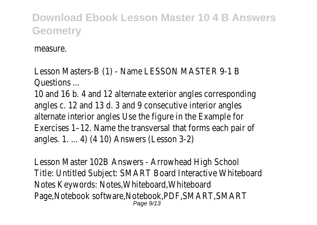measure.

Lesson Masters-B (1) - Name LESSON MASTER 9-1 B Questions ...

10 and 16 b. 4 and 12 alternate exterior angles corresponding angles c. 12 and 13 d. 3 and 9 consecutive interior angles alternate interior angles Use the figure in the Example for Exercises 1–12. Name the transversal that forms each pair of angles. 1. ... 4) (4 10) Answers (Lesson 3-2)

Lesson Master 102B Answers - Arrowhead High School Title: Untitled Subject: SMART Board Interactive Whiteboard Notes Keywords: Notes,Whiteboard,Whiteboard Page,Notebook software,Notebook,PDF,SMART,SMART Page  $9/13$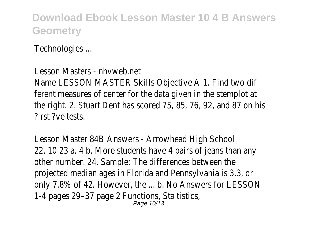Technologies ...

Lesson Masters - nhvweb.net Name LESSON MASTER Skills Objective A 1. Find two dif ferent measures of center for the data given in the stemplot at the right. 2. Stuart Dent has scored 75, 85, 76, 92, and 87 on his ? rst ?ve tests.

Lesson Master 84B Answers - Arrowhead High School 22. 10 23 a. 4 b. More students have 4 pairs of jeans than any other number. 24. Sample: The differences between the projected median ages in Florida and Pennsylvania is 3.3, or only 7.8% of 42. However, the ... b. No Answers for LESSON 1-4 pages 29–37 page 2 Functions, Sta tistics, Page 10/13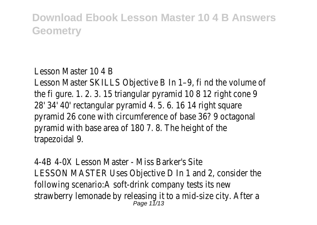#### Lesson Master 10 4 B

Lesson Master SKILLS Objective B In 1–9, fi nd the volume of the fi gure. 1. 2. 3. 15 triangular pyramid 10 8 12 right cone 9 28' 34' 40' rectangular pyramid 4. 5. 6. 16 14 right square pyramid 26 cone with circumference of base 36? 9 octagonal pyramid with base area of 180 7. 8. The height of the trapezoidal 9.

4-4B 4-0X Lesson Master - Miss Barker's Site LESSON MASTER Uses Objective D In 1 and 2, consider the following scenario:A soft-drink company tests its new strawberry lemonade by releasing it to a mid-size city. After a Page 11/13